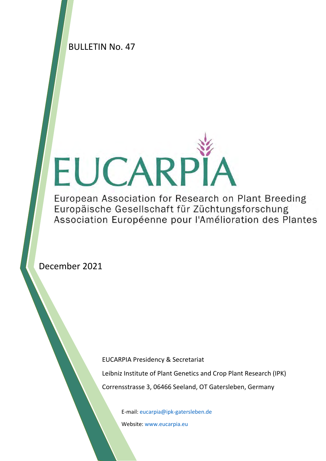BULLETIN No. 47

# EUCARPÏ

European Association for Research on Plant Breeding Europäische Gesellschaft für Züchtungsforschung Association Européenne pour l'Amélioration des Plantes

December 2021

EUCARPIA Presidency & Secretariat Leibniz Institute of Plant Genetics and Crop Plant Research (IPK) Corrensstrasse 3, 06466 Seeland, OT Gatersleben, Germany

E-mail: [eucarpia@ipk-gatersleben.de](mailto:eucarpia@ipk-gatersleben.de) 

Website[: www.eucarpia.eu](http://www.eucarpia.eu/)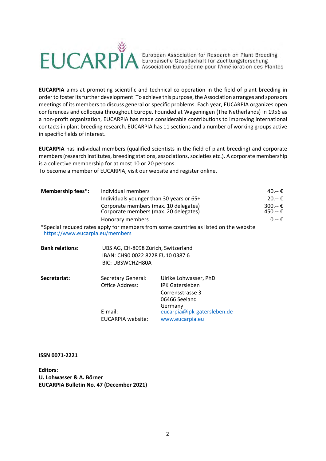

European Association for Research on Plant Breeding<br>Europäische Gesellschaft für Züchtungsforschung<br>Association Européenne pour l'Amélioration des Plantes

**EUCARPIA** aims at promoting scientific and technical co-operation in the field of plant breeding in order to foster its further development. To achieve this purpose,the Association arranges and sponsors meetings of its members to discuss general or specific problems. Each year, EUCARPIA organizes open conferences and colloquia throughout Europe. Founded at Wageningen (The Netherlands) in 1956 as a non-profit organization, EUCARPIA has made considerable contributions to improving international contacts in plant breeding research. EUCARPIA has 11 sections and a number of working groups active in specific fields of interest.

**EUCARPIA** has individual members (qualified scientists in the field of plant breeding) and corporate members (research institutes, breeding stations, associations, societies etc.). A corporate membership is a collective membership for at most 10 or 20 persons.

To become a member of EUCARPIA, visit our website and register online.

| <b>Membership fees*:</b>        | Individual members                                                                    |                    |  |
|---------------------------------|---------------------------------------------------------------------------------------|--------------------|--|
|                                 | Individuals younger than 30 years or 65+                                              | $20.-€$            |  |
|                                 | Corporate members (max. 10 delegates)<br>Corporate members (max. 20 delegates)        | 300.--€<br>450.--€ |  |
|                                 | Honorary members                                                                      |                    |  |
| https://www.eucarpia.eu/members | *Special reduced rates apply for members from some countries as listed on the website |                    |  |
| <b>Bank relations:</b>          | UBS AG, CH-8098 Zürich, Switzerland                                                   |                    |  |
|                                 | IBAN: CH90 0022 8228 EU10 0387 6                                                      |                    |  |

| Secretariat: | Secretary General:<br>Office Address: | Ulrike Lohwasser, PhD<br><b>IPK Gatersleben</b> |  |  |
|--------------|---------------------------------------|-------------------------------------------------|--|--|
|              |                                       | Corrensstrasse 3<br>06466 Seeland               |  |  |
|              |                                       | Germany                                         |  |  |
|              | E-mail:                               | eucarpia@ipk-gatersleben.de                     |  |  |
|              | <b>EUCARPIA website:</b>              | www.eucarpia.eu                                 |  |  |

BIC: UBSWCHZH80A

**ISSN 0071-2221**

**Editors: U. Lohwasser & A. Börner EUCARPIA Bulletin No. 47 (December 2021)**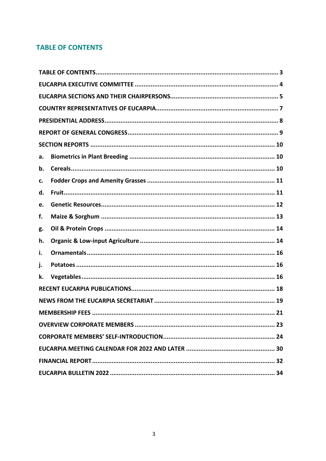# <span id="page-2-0"></span>**TABLE OF CONTENTS**

| а. |                              |
|----|------------------------------|
| b. |                              |
| c. |                              |
| d. |                              |
| e. |                              |
| f. |                              |
| g. |                              |
| h. |                              |
| i. |                              |
| j. |                              |
| k. |                              |
|    |                              |
|    |                              |
|    | <b>MEMBERSHIP FEES</b><br>21 |
|    |                              |
|    |                              |
|    |                              |
|    |                              |
|    |                              |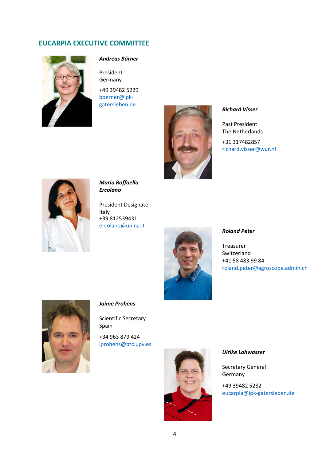# <span id="page-3-0"></span>**EUCARPIA EXECUTIVE COMMITTEE**



# *Andreas Börner*

President Germany +49 39482 5229 [boerner@ipk-](mailto:boerner@ipk-gatersleben.de)



Past President The Netherlands

+31 317482857 [richard.visser@wur.nl](mailto:richard.visser@wur.nl)



*Maria Raffaella Ercolano* 

President Designate Italy +39 812539431 [ercolano@unina.it](mailto:ercolano@unina.it)



# *Roland Peter*

Treasurer Switzerland +41 58 483 99 84 [roland.peter@agroscope.admin.ch](mailto:roland.peter@agroscope.admin.ch)



# *Jaime Prohens*

Scientific Secretary Spain

+34 963 879 424 [jprohens@btc.upv.es](mailto:jprohens@btc.upv.es)



### *Ulrike Lohwasser*

Secretary General Germany

+49 39482 5282 [eucarpia@ipk-gatersleben.de](mailto:eucarpia@ipk-gatersleben.de)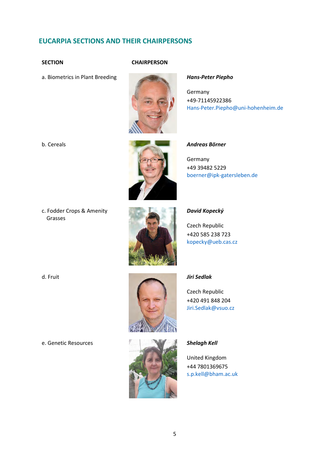# <span id="page-4-0"></span>**EUCARPIA SECTIONS AND THEIR CHAIRPERSONS**

# **SECTION CHAIRPERSON**



Germany +49-71145922386 [Hans-Peter.Piepho@uni-hohenheim.de](mailto:Hans-Peter.Piepho@uni-hohenheim.de)



### b. Cereals *Andreas Börner*

Germany +49 39482 5229 [boerner@ipk-gatersleben.de](mailto:boerner@ipk-gatersleben.de)

c. Fodder Crops & Amenity Grasses



### *David Kopecký*

Czech Republic +420 585 238 723 [kopecky@ueb.cas.cz](mailto:kopecky@ueb.cas.cz)



Czech Republic +420 491 848 204 [Jiri.Sedlak@vsuo.cz](mailto:Jiri.Sedlak@vsuo.cz)



United Kingdom +44 7801369675 [s.p.kell@bham.ac.uk](mailto:s.p.kell@bham.ac.uk)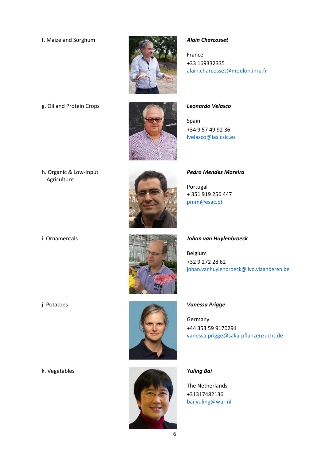

France +33 169332335 [alain.charcosset@moulon.inra.fr](mailto:alain.charcosset@moulon.inra.fr)

g. Oil and Protein Crops *Leonardo Velasco*

Spain +34 9 57 49 92 36 [lvelasco@ias.csic.es](mailto:lvelasco@ias.csic.es)





*Pedro Mendes Moreira*

Portugal + 351 919 256 447 [pmm@esac.pt](mailto:pmm@esac.pt)

# i. Ornamentals *Johan van Huylenbroeck*

Belgium +32 9 272 28 62 [johan.vanhuylenbroeck@ilvo.vlaanderen.be](mailto:johan.vanhuylenbroeck@ilvo.vlaanderen.be)



Germany +44 353 59 9170291 [vanessa.prigge@saka-pflanzenzucht.de](mailto:vanessa.prigge@saka-pflanzenzucht.de)



The Netherlands +31317482136 [bai.yuling@wur.nl](mailto:bai.yuling@wur.nl)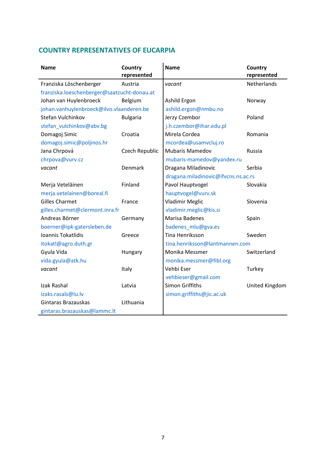# <span id="page-6-0"></span>**COUNTRY REPRESENTATIVES OF EUCARPIA**

| <b>Name</b>                                 | Country<br>represented | <b>Name</b>                         | Country<br>represented |
|---------------------------------------------|------------------------|-------------------------------------|------------------------|
| Franziska Löschenberger                     | Austria                | vacant                              | <b>Netherlands</b>     |
| franziska.loeschenberger@saatzucht-donau.at |                        |                                     |                        |
| Johan van Huylenbroeck                      | Belgium                | Ashild Ergon                        | Norway                 |
| johan.vanhuylenbroeck@ilvo.vlaanderen.be    |                        | ashild.ergon@nmbu.no                |                        |
| Stefan Vulchinkov                           | <b>Bulgaria</b>        | Jerzy Czembor                       | Poland                 |
| stefan_vulchinkov@abv.bg                    |                        | j.h.czembor@ihar.edu.pl             |                        |
| Domagoj Simic                               | Croatia                | Mirela Cordea                       | Romania                |
| domagoj.simic@poljinos.hr                   |                        | mcordea@usamvcluj.ro                |                        |
| Jana Chrpová                                | Czech Republic         | <b>Mubaris Mamedov</b>              | Russia                 |
| chrpova@vurv.cz                             |                        | mubaris-mamedov@yandex.ru           |                        |
| vacant                                      | Denmark                | Dragana Miladinovic                 | Serbia                 |
|                                             |                        | dragana.miladinovic@ifvcns.ns.ac.rs |                        |
| Merja Veteläinen                            | Finland                | Pavol Hauptvogel                    | Slovakia               |
| merja.vetelainen@boreal.fi                  |                        | hauptvogel@vurv.sk                  |                        |
| <b>Gilles Charmet</b>                       | France                 | <b>Vladimir Meglic</b>              | Slovenia               |
| gilles.charmet@clermont.inra.fr             |                        | vladimir.meglic@kis.si              |                        |
| Andreas Börner                              | Germany                | Marisa Badenes                      | Spain                  |
| boerner@ipk-gatersleben.de                  |                        | badenes_mlu@gva.es                  |                        |
| Ioannis Tokatlidis                          | Greece                 | <b>Tina Henriksson</b>              | Sweden                 |
| itokatl@agro.duth.gr                        |                        | tina.henriksson@lantmannen.com      |                        |
| Gyula Vida                                  | Hungary                | Monika Messmer                      | Switzerland            |
| vida.gyula@atk.hu                           |                        | monika.messmer@fibl.org             |                        |
| vacant                                      | Italy                  | Vehbi Eser                          | Turkey                 |
|                                             |                        | vehbieser@gmail.com                 |                        |
| Izak Rashal                                 | Latvia                 | <b>Simon Griffiths</b>              | United Kingdom         |
| izaks.rasals@lu.lv                          |                        | simon.griffiths@jic.ac.uk           |                        |
| Gintaras Brazauskas                         | Lithuania              |                                     |                        |
| gintaras.brazauskas@lammc.lt                |                        |                                     |                        |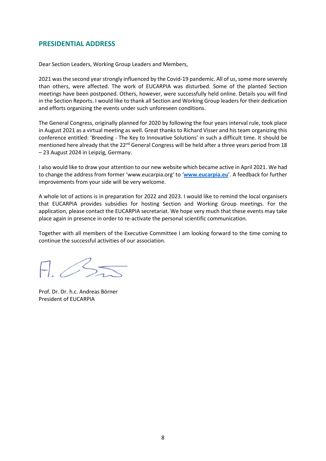# <span id="page-7-0"></span>**PRESIDENTIAL ADDRESS**

Dear Section Leaders, Working Group Leaders and Members,

2021 was the second year strongly influenced by the Covid-19 pandemic. All of us, some more severely than others, were affected. The work of EUCARPIA was disturbed. Some of the planted Section meetings have been postponed. Others, however, were successfully held online. Details you will find in the Section Reports. I would like to thank all Section and Working Group leaders for their dedication and efforts organizing the events under such unforeseen conditions.

The General Congress, originally planned for 2020 by following the four years interval rule, took place in August 2021 as a virtual meeting as well. Great thanks to Richard Visser and his team organizing this conference entitled: 'Breeding - The Key to Innovative Solutions' in such a difficult time. It should be mentioned here already that the 22<sup>nd</sup> General Congress will be held after a three years period from 18 – 23 August 2024 in Leipzig, Germany.

I also would like to draw your attention to our new website which became active in April 2021. We had to change the address from former ['www.eucarpia.org'](http://www.eucarpia.org/) to '**[www.eucarpia.eu](http://www.eucarpia.eu/)**'. A feedback for further improvements from your side will be very welcome.

A whole lot of actions is in preparation for 2022 and 2023. I would like to remind the local organisers that EUCARPIA provides subsidies for hosting Section and Working Group meetings. For the application, please contact the EUCARPIA secretariat. We hope very much that these events may take place again in presence in order to re-activate the personal scientific communication.

Together with all members of the Executive Committee I am looking forward to the time coming to continue the successful activities of our association.

 $7 / 5 =$ 

Prof. Dr. Dr. h.c. Andreas Börner President of EUCARPIA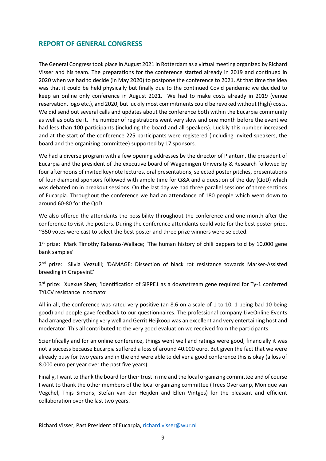# <span id="page-8-0"></span>**REPORT OF GENERAL CONGRESS**

The General Congresstook place in August 2021 in Rotterdam as a virtual meeting organized by Richard Visser and his team. The preparations for the conference started already in 2019 and continued in 2020 when we had to decide (in May 2020) to postpone the conference to 2021. At that time the idea was that it could be held physically but finally due to the continued Covid pandemic we decided to keep an online only conference in August 2021. We had to make costs already in 2019 (venue reservation, logo etc.), and 2020, but luckily most commitments could be revoked without (high) costs. We did send out several calls and updates about the conference both within the Eucarpia community as well as outside it. The number of registrations went very slow and one month before the event we had less than 100 participants (including the board and all speakers). Luckily this number increased and at the start of the conference 225 participants were registered (including invited speakers, the board and the organizing committee) supported by 17 sponsors.

We had a diverse program with a few opening addresses by the director of Plantum, the president of Eucarpia and the president of the executive board of Wageningen University & Research followed by four afternoons of invited keynote lectures, oral presentations, selected poster pitches, presentations of four diamond sponsors followed with ample time for Q&A and a question of the day (QoD) which was debated on in breakout sessions. On the last day we had three parallel sessions of three sections of Eucarpia. Throughout the conference we had an attendance of 180 people which went down to around 60-80 for the QoD.

We also offered the attendants the possibility throughout the conference and one month after the conference to visit the posters. During the conference attendants could vote for the best poster prize. ~350 votes were cast to select the best poster and three prize winners were selected.

1<sup>st</sup> prize: Mark Timothy Rabanus-Wallace; 'The human history of chili peppers told by 10.000 gene bank samples'

2<sup>nd</sup> prize: Silvia Vezzulli; 'DAMAGE: Dissection of black rot resistance towards Marker-Assisted breeding in GrapevinE'

3<sup>rd</sup> prize: Xuexue Shen; 'Identification of SIRPE1 as a downstream gene required for Ty-1 conferred TYLCV resistance in tomato'

All in all, the conference was rated very positive (an 8.6 on a scale of 1 to 10, 1 being bad 10 being good) and people gave feedback to our questionnaires. The professional company LiveOnline Events had arranged everything very well and Gerrit Heijkoop was an excellent and very entertaining host and moderator. This all contributed to the very good evaluation we received from the participants.

Scientifically and for an online conference, things went well and ratings were good, financially it was not a success because Eucarpia suffered a loss of around 40.000 euro. But given the fact that we were already busy for two years and in the end were able to deliver a good conference this is okay (a loss of 8.000 euro per year over the past five years).

Finally, I want to thank the board for their trust in me and the local organizing committee and of course I want to thank the other members of the local organizing committee (Trees Overkamp, Monique van Vegchel, Thijs Simons, Stefan van der Heijden and Ellen Vintges) for the pleasant and efficient collaboration over the last two years.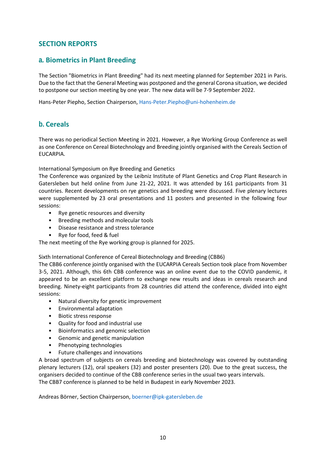# <span id="page-9-0"></span>**SECTION REPORTS**

# <span id="page-9-1"></span>**a. Biometrics in Plant Breeding**

The Section "Biometrics in Plant Breeding" had its next meeting planned for September 2021 in Paris. Due to the fact that the General Meeting was postponed and the general Corona situation, we decided to postpone our section meeting by one year. The new data will be 7-9 September 2022.

Hans-Peter Piepho, Section Chairperson, [Hans-Peter.Piepho@uni-hohenheim.de](mailto:Hans-Peter.Piepho@uni-hohenheim.de)

# <span id="page-9-2"></span>**b. Cereals**

There was no periodical Section Meeting in 2021. However, a Rye Working Group Conference as well as one Conference on Cereal Biotechnology and Breeding jointly organised with the Cereals Section of EUCARPIA.

International Symposium on Rye Breeding and Genetics

The Conference was organized by the Leibniz Institute of Plant Genetics and Crop Plant Research in Gatersleben but held online from June 21-22, 2021. It was attended by 161 participants from 31 countries. Recent developments on rye genetics and breeding were discussed. Five plenary lectures were supplemented by 23 oral presentations and 11 posters and presented in the following four sessions:

- Rye genetic resources and diversity
- Breeding methods and molecular tools
- Disease resistance and stress tolerance
- Rye for food, feed & fuel

The next meeting of the Rye working group is planned for 2025.

Sixth International Conference of Cereal Biotechnology and Breeding (CBB6)

The CBB6 conference jointly organised with the EUCARPIA Cereals Section took place from November 3-5, 2021. Although, this 6th CBB conference was an online event due to the COVID pandemic, it appeared to be an excellent platform to exchange new results and ideas in cereals research and breeding. Ninety-eight participants from 28 countries did attend the conference, divided into eight sessions:

- Natural diversity for genetic improvement
- Environmental adaptation
- Biotic stress response
- Quality for food and industrial use
- Bioinformatics and genomic selection
- Genomic and genetic manipulation
- Phenotyping technologies
- Future challenges and innovations

A broad spectrum of subjects on cereals breeding and biotechnology was covered by outstanding plenary lecturers (12), oral speakers (32) and poster presenters (20). Due to the great success, the organisers decided to continue of the CBB conference series in the usual two years intervals. The CBB7 conference is planned to be held in Budapest in early November 2023.

Andreas Börner, Section Chairperson, [boerner@ipk-gatersleben.de](mailto:boerner@ipk-gatersleben.de)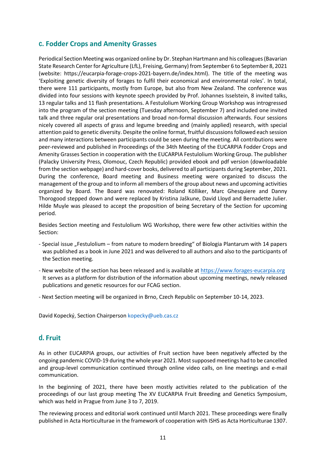# <span id="page-10-0"></span>**c. Fodder Crops and Amenity Grasses**

Periodical Section Meeting was organized online by Dr. Stephan Hartmann and his colleagues (Bavarian State Research Center for Agriculture (LfL), Freising, Germany) from September 6 to September 8, 2021 (website: https://eucarpia-forage-crops-2021-bayern.de/index.html). The title of the meeting was 'Exploiting genetic diversity of forages to fulfil their economical and environmental roles'. In total, there were 111 participants, mostly from Europe, but also from New Zealand. The conference was divided into four sessions with keynote speech provided by Prof. Johannes Isselstein, 8 invited talks, 13 regular talks and 11 flash presentations. A Festulolium Working Group Workshop was introgressed into the program of the section meeting (Tuesday afternoon, September 7) and included one invited talk and three regular oral presentations and broad non-formal discussion afterwards. Four sessions nicely covered all aspects of grass and legume breeding and (mainly applied) research, with special attention paid to genetic diversity. Despite the online format, fruitful discussions followed each session and many interactions between participants could be seen during the meeting. All contributions were peer-reviewed and published in Proceedings of the 34th Meeting of the EUCARPIA Fodder Crops and Amenity Grasses Section in cooperation with the EUCARPIA Festulolium Working Group. The publisher (Palacky University Press, Olomouc, Czech Republic) provided ebook and pdf version (downloadable from the section webpage) and hard-cover books, delivered to all participants during September, 2021. During the conference, Board meeting and Business meeting were organized to discuss the management of the group and to inform all members of the group about news and upcoming activities organized by Board. The Board was renovated: Roland Kölliker, Marc Ghesquiere and Danny Thorogood stepped down and were replaced by Kristina Jaškune, David Lloyd and Bernadette Julier. Hilde Muyle was pleased to accept the proposition of being Secretary of the Section for upcoming period.

Besides Section meeting and Festulolium WG Workshop, there were few other activities within the Section:

- Special issue "Festulolium from nature to modern breeding" of Biologia Plantarum with 14 papers was published as a book in June 2021 and was delivered to all authors and also to the participants of the Section meeting.
- New website of the section has been released and is available a[t https://www.forages-eucarpia.org](https://www.forages-eucarpia.org/) It serves as a platform for distribution of the information about upcoming meetings, newly released publications and genetic resources for our FCAG section.
- Next Section meeting will be organized in Brno, Czech Republic on September 10-14, 2023.

David Kopecký, Section Chairperso[n kopecky@ueb.cas.cz](mailto:kopecky@ueb.cas.cz)

# <span id="page-10-1"></span>**d. Fruit**

As in other EUCARPIA groups, our activities of Fruit section have been negatively affected by the ongoing pandemic COVID-19 during the whole year 2021. Mostsupposed meetings had to be cancelled and group-level communication continued through online video calls, on line meetings and e-mail communication.

In the beginning of 2021, there have been mostly activities related to the publication of the proceedings of our last group meeting The XV EUCARPIA Fruit Breeding and Genetics Symposium, which was held in Prague from June 3 to 7, 2019.

The reviewing process and editorial work continued until March 2021. These proceedings were finally published in Acta Horticulturae in the framework of cooperation with ISHS as Acta Horticulturae 1307.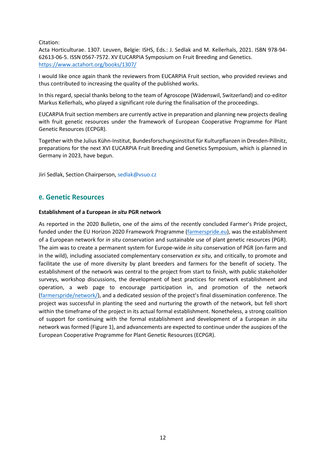Citation:

Acta Horticulturae. 1307. Leuven, Belgie: ISHS, Eds.: J. Sedlak and M. Kellerhals, 2021. ISBN 978-94- 62613-06-5. ISSN 0567-7572. XV EUCARPIA Symposium on Fruit Breeding and Genetics. <https://www.actahort.org/books/1307/>

I would like once again thank the reviewers from EUCARPIA Fruit section, who provided reviews and thus contributed to increasing the quality of the published works.

In this regard, special thanks belong to the team of Agroscope (Wädenswil, Switzerland) and co-editor Markus Kellerhals, who played a significant role during the finalisation of the proceedings.

EUCARPIA fruit section members are currently active in preparation and planning new projects dealing with fruit genetic resources under the framework of European Cooperative Programme for Plant Genetic Resources (ECPGR).

Together with the Julius Kühn-Institut, Bundesforschungsinstitut für Kulturpflanzen in Dresden-Pillnitz, preparations for the next XVI EUCARPIA Fruit Breeding and Genetics Symposium, which is planned in Germany in 2023, have begun.

Jiri Sedlak, Section Chairperson, [sedlak@vsuo.cz](mailto:sedlak@vsuo.cz)

# <span id="page-11-0"></span>**e. Genetic Resources**

### **Establishment of a European** *in situ* **PGR network**

As reported in the 2020 Bulletin, one of the aims of the recently concluded Farmer's Pride project, funded under the EU Horizon 2020 Framework Programme [\(farmerspride.eu\)](https://more.bham.ac.uk/farmerspride/), was the establishment of a European network for *in situ* conservation and sustainable use of plant genetic resources (PGR). The aim was to create a permanent system for Europe-wide *in situ* conservation of PGR (on-farm and in the wild), including associated complementary conservation *ex situ*, and critically, to promote and facilitate the use of more diversity by plant breeders and farmers for the benefit of society. The establishment of the network was central to the project from start to finish, with public stakeholder surveys, workshop discussions, the development of best practices for network establishment and operation, a web page to encourage participation in, and promotion of the network [\(farmerspride/network/\)](https://more.bham.ac.uk/farmerspride/network/), and a dedicated session of the project's final dissemination conference. The project was successful in planting the seed and nurturing the growth of the network, but fell short within the timeframe of the project in its actual formal establishment. Nonetheless, a strong coalition of support for continuing with the formal establishment and development of a European *in situ* network was formed (Figure 1), and advancements are expected to continue under the auspices of the European Cooperative Programme for Plant Genetic Resources (ECPGR).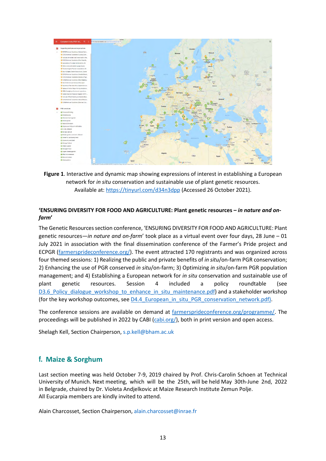

**Figure 1**. Interactive and dynamic map showing expressions of interest in establishing a European network for *in situ* conservation and sustainable use of plant genetic resources. Available at:<https://tinyurl.com/d34n3dpp> (Accessed 26 October 2021).

# **'ENSURING DIVERSITY FOR FOOD AND AGRICULTURE: Plant genetic resources –** *in nature and onfarm***'**

The Genetic Resources section conference, 'ENSURING DIVERSITY FOR FOOD AND AGRICULTURE: Plant genetic resources—*in nature and on-farm*' took place as a virtual event over four days, 28 June – 01 July 2021 in association with the final dissemination conference of the Farmer's Pride project and ECPGR [\(farmersprideconference.org/\)](https://farmersprideconference.org/). The event attracted 170 registrants and was organized across four themed sessions: 1) Realizing the public and private benefits of *in situ*/on-farm PGR conservation; 2) Enhancing the use of PGR conserved *in situ*/on-farm; 3) Optimizing *in situ*/on-farm PGR population management; and 4) Establishing a European network for *in situ* conservation and sustainable use of plant genetic resources. Session 4 included a policy roundtable (see D3.6 Policy dialogue workshop to enhance in situ maintenance.pdf) and a stakeholder workshop (for the key workshop outcomes, see D4.4 European in situ PGR conservation network.pdf).

The conference sessions are available on demand at [farmersprideconference.org/programme/.](https://farmersprideconference.org/programme/) The proceedings will be published in 2022 by CABI [\(cabi.org/\)](https://www.cabi.org/), both in print version and open access.

Shelagh Kell, Section Chairperson, [s.p.kell@bham.ac.uk](mailto:s.p.kell@bham.ac.uk)

# <span id="page-12-0"></span>**f. Maize & Sorghum**

Last section meeting was held October 7-9, 2019 chaired by Prof. Chris-Carolin Schoen at Technical University of Munich. Next meeting, which will be the 25th, will be held May 30th-June 2nd, 2022 in Belgrade, chaired by Dr. Violeta Andjelkovic at Maize Research Institute Zemun Polje. All Eucarpia members are kindly invited to attend.

Alain Charcosset, Section Chairperson, [alain.charcosset@inrae.fr](mailto:alain.charcosset@inrae.fr)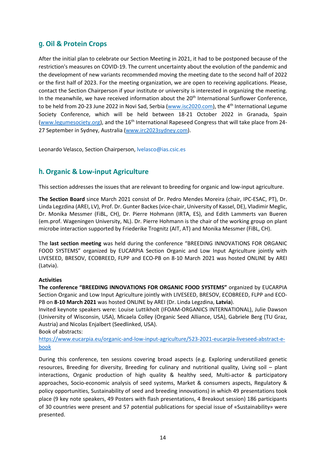# <span id="page-13-0"></span>**g. Oil & Protein Crops**

After the initial plan to celebrate our Section Meeting in 2021, it had to be postponed because of the restriction's measures on COVID-19. The current uncertainty about the evolution of the pandemic and the development of new variants recommended moving the meeting date to the second half of 2022 or the first half of 2023. For the meeting organization, we are open to receiving applications. Please, contact the Section Chairperson if your institute or university is interested in organizing the meeting. In the meanwhile, we have received information about the 20<sup>th</sup> International Sunflower Conference, to be held from 20-23 June 2022 in Novi Sad, Serbia [\(www.isc2020.com\)](http://www.isc2020.com/), the 4<sup>th</sup> International Legume Society Conference, which will be held between 18-21 October 2022 in Granada, Spain [\(www.legumesociety.org\)](http://www.legumesociety.org/), and the 16<sup>th</sup> International Rapeseed Congress that will take place from 24-27 September in Sydney, Australia [\(www.irc2023sydney.com\)](http://www.irc2023sydney.com/).

Leonardo Velasco, Section Chairperson, [lvelasco@ias.csic.es](mailto:lvelasco@ias.csic.es)

# <span id="page-13-1"></span>**h. Organic & Low-input Agriculture**

This section addresses the issues that are relevant to breeding for organic and low-input agriculture.

**The Section Board** since March 2021 consist of Dr. Pedro Mendes Moreira (chair, IPC-ESAC, PT), Dr. Linda Legzdina (AREI, LV), Prof. Dr. Gunter Backes (vice-chair, University of Kassel, DE), Vladimir Meglic, Dr. Monika Messmer (FiBL, CH), Dr. Pierre Hohmann (IRTA, ES), and Edith Lammerts van Bueren (em.prof. Wageningen University, NL). Dr. Pierre Hohmann is the chair of the working group on plant microbe interaction supported by Friederike Trognitz (AIT, AT) and Monika Messmer (FiBL, CH).

The **last section meeting** was held during the conference "BREEDING INNOVATIONS FOR ORGANIC FOOD SYSTEMS" organized by EUCARPIA Section Organic and Low Input Agriculture jointly with LIVESEED, BRESOV, ECOBREED, FLPP and ECO-PB on 8-10 March 2021 was hosted ONLINE by AREI (Latvia).

# **Activities**

**The conference "BREEDING INNOVATIONS FOR ORGANIC FOOD SYSTEMS"** organized by EUCARPIA Section Organic and Low Input Agriculture jointly with LIVESEED, BRESOV, ECOBREED, FLPP and ECO-PB on **8-10 March 2021** was hosted ONLINE by AREI (Dr. Linda Legzdina, **Latvia**).

Invited keynote speakers were: Louise Luttikholt (IFOAM-ORGANICS INTERNATIONAL), Julie Dawson (University of Wisconsin, USA), Micaela Colley (Organic Seed Alliance, USA), Gabriele Berg (TU Graz, Austria) and Nicolas Enjalbert (Seedlinked, USA).

Book of abstracts:

[https://www.eucarpia.eu/organic-and-low-input-agriculture/523-2021-eucarpia-liveseed-abstract-e](https://www.eucarpia.eu/organic-and-low-input-agriculture/523-2021-eucarpia-liveseed-abstract-e-book)[book](https://www.eucarpia.eu/organic-and-low-input-agriculture/523-2021-eucarpia-liveseed-abstract-e-book)

During this conference, ten sessions covering broad aspects (e.g. Exploring underutilized genetic resources, Breeding for diversity, Breeding for culinary and nutritional quality, Living soil – plant interactions, Organic production of high quality & healthy seed, Multi-actor & participatory approaches, Socio-economic analysis of seed systems, Market & consumers aspects, Regulatory & policy opportunities, Sustainability of seed and breeding innovations) in which 49 presentations took place (9 key note speakers, 49 Posters with flash presentations, 4 Breakout session) 186 participants of 30 countries were present and 57 potential publications for special issue of «Sustainability» were presented.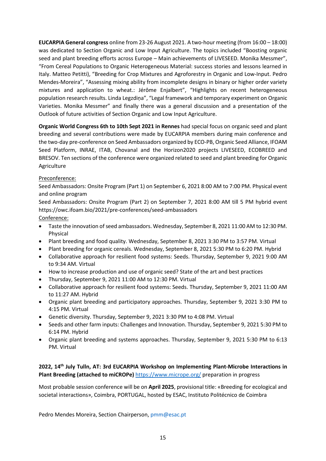**EUCARPIA General congress** online from 23-26 August 2021. A two-hour meeting (from 16:00 – 18:00) was dedicated to Section Organic and Low Input Agriculture. The topics included "Boosting organic seed and plant breeding efforts across Europe – Main achievements of LIVESEED. Monika Messmer", "From Cereal Populations to Organic Heterogeneous Material: success stories and lessons learned in Italy. Matteo Petitti), "Breeding for Crop Mixtures and Agroforestry in Organic and Low-Input. Pedro Mendes-Moreira", "Assessing mixing ability from incomplete designs in binary or higher order variety mixtures and application to wheat.: Jérôme Enjalbert", "Highlights on recent heterogeneous population research results. Linda Legzdiņa", "Legal framework and temporary experiment on Organic Varieties. Monika Messmer" and finally there was a general discussion and a presentation of the Outlook of future activities of Section Organic and Low Input Agriculture.

**Organic World Congress 6th to 10th Sept 2021 in Rennes** had special focus on organic seed and plant breeding and several contributions were made by EUCARPIA members during main conference and the two-day pre-conference on Seed Ambassadors organized by ECO-PB, Organic Seed Alliance, IFOAM Seed Platform, INRAE, ITAB, Chovanal and the Horizon2020 projects LIVESEED, ECOBREED and BRESOV. Ten sections of the conference were organized related to seed and plant breeding for Organic Agriculture

# Preconference:

Seed Ambassadors: Onsite Program (Part 1) on September 6, 2021 8:00 AM to 7:00 PM. Physical event and online program

Seed Ambassadors: Onsite Program (Part 2) on September 7, 2021 8:00 AM till 5 PM hybrid event https://owc.ifoam.bio/2021/pre-conferences/seed-ambassadors

# Conference:

- Taste the innovation of seed ambassadors. Wednesday, September 8, 2021 11:00 AM to 12:30 PM. Physical
- Plant breeding and food quality. Wednesday, September 8, 2021 3:30 PM to 3:57 PM. Virtual
- Plant breeding for organic cereals. Wednesday, September 8, 2021 5:30 PM to 6:20 PM. Hybrid
- Collaborative approach for resilient food systems: Seeds. Thursday, September 9, 2021 9:00 AM to 9:34 AM. Virtual
- How to increase production and use of organic seed? State of the art and best practices
- Thursday, September 9, 2021 11:00 AM to 12:30 PM. Virtual
- Collaborative approach for resilient food systems: Seeds. Thursday, September 9, 2021 11:00 AM to 11:27 AM. Hybrid
- Organic plant breeding and participatory approaches. Thursday, September 9, 2021 3:30 PM to 4:15 PM. Virtual
- Genetic diversity. Thursday, September 9, 2021 3:30 PM to 4:08 PM. Virtual
- Seeds and other farm inputs: Challenges and Innovation. Thursday, September 9, 2021 5:30 PM to 6:14 PM. Hybrid
- Organic plant breeding and systems approaches. Thursday, September 9, 2021 5:30 PM to 6:13 PM. Virtual

# **2022, 14th July Tulln, AT: 3rd EUCARPIA Workshop on Implementing Plant-Microbe Interactions in Plant Breeding (attached to miCROPe)** <https://www.micrope.org/> preparation in progress

Most probable session conference will be on **April 2025**, provisional title: «Breeding for ecological and societal interactions», Coimbra, PORTUGAL, hosted by ESAC, Instituto Politécnico de Coimbra

Pedro Mendes Moreira, Section Chairperson, [pmm@esac.pt](mailto:pmm@esac.pt)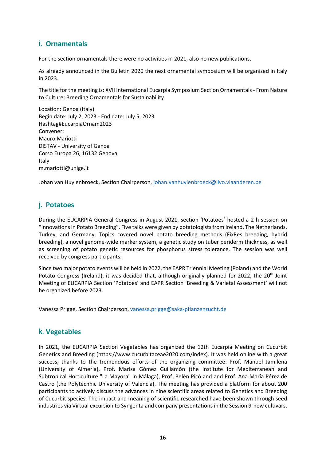# <span id="page-15-0"></span>**i. Ornamentals**

For the section ornamentals there were no activities in 2021, also no new publications.

As already announced in the Bulletin 2020 the next ornamental symposium will be organized in Italy in 2023.

The title for the meeting is: XVII International Eucarpia Symposium Section Ornamentals - From Nature to Culture: Breeding Ornamentals for Sustainability

Location: Genoa (Italy) Begin date: July 2, 2023 - End date: July 5, 2023 Hashtag#EucarpiaOrnam2023 Convener: Mauro Mariotti DISTAV - University of Genoa Corso Europa 26, 16132 Genova Italy m.mariotti@unige.it

Johan van Huylenbroeck, Section Chairperson, [johan.vanhuylenbroeck@ilvo.vlaanderen.be](mailto:johan.vanhuylenbroeck@ilvo.vlaanderen.be)

# <span id="page-15-1"></span>**j. Potatoes**

During the EUCARPIA General Congress in August 2021, section 'Potatoes' hosted a 2 h session on "Innovations in Potato Breeding". Five talks were given by potatologists from Ireland, The Netherlands, Turkey, and Germany. Topics covered novel potato breeding methods (FixRes breeding, hybrid breeding), a novel genome-wide marker system, a genetic study on tuber periderm thickness, as well as screening of potato genetic resources for phosphorus stress tolerance. The session was well received by congress participants.

Since two major potato events will be held in 2022, the EAPR Triennial Meeting (Poland) and the World Potato Congress (Ireland), it was decided that, although originally planned for 2022, the 20<sup>th</sup> Joint Meeting of EUCARPIA Section 'Potatoes' and EAPR Section 'Breeding & Varietal Assessment' will not be organized before 2023.

Vanessa Prigge, Section Chairperson, [vanessa.prigge@saka-pflanzenzucht.de](mailto:vanessa.prigge@saka-pflanzenzucht.de)

# <span id="page-15-2"></span>**k. Vegetables**

In 2021, the EUCARPIA Section Vegetables has organized the 12th Eucarpia Meeting on Cucurbit Genetics and Breeding (https://www.cucurbitaceae2020.com/index). It was held online with a great success, thanks to the tremendous efforts of the organizing committee: Prof. Manuel Jamilena (University of Almería), Prof. Marisa Gómez Guillamón (the Institute for Mediterranean and Subtropical Horticulture "La Mayora" in Málaga), Prof. Belén Picó and and Prof. Ana María Pérez de Castro (the Polytechnic University of Valencia). The meeting has provided a platform for about 200 participants to actively discuss the advances in nine scientific areas related to Genetics and Breeding of Cucurbit species. The impact and meaning of scientific researched have been shown through seed industries via Virtual excursion to Syngenta and company presentations in the Session 9-new cultivars.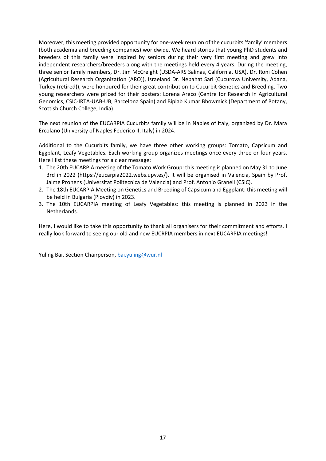Moreover, this meeting provided opportunity for one-week reunion of the cucurbits 'family' members (both academia and breeding companies) worldwide. We heard stories that young PhD students and breeders of this family were inspired by seniors during their very first meeting and grew into independent researchers/breeders along with the meetings held every 4 years. During the meeting, three senior family members, Dr. Jim McCreight (USDA-ARS Salinas, California, USA), Dr. Roni Cohen (Agricultural Research Organization (ARO)), Israeland Dr. Nebahat Sari (Çucurova University, Adana, Turkey (retired)), were honoured for their great contribution to Cucurbit Genetics and Breeding. Two young researchers were priced for their posters: Lorena Areco (Centre for Research in Agricultural Genomics, CSIC-IRTA-UAB-UB, Barcelona Spain) and Biplab Kumar Bhowmick (Department of Botany, Scottish Church College, India).

The next reunion of the EUCARPIA Cucurbits family will be in Naples of Italy, organized by Dr. Mara Ercolano (University of Naples Federico II, Italy) in 2024.

Additional to the Cucurbits family, we have three other working groups: Tomato, Capsicum and Eggplant, Leafy Vegetables. Each working group organizes meetings once every three or four years. Here I list these meetings for a clear message:

- 1. The 20th EUCARPIA meeting of the Tomato Work Group: this meeting is planned on May 31 to June 3rd in 2022 (https://eucarpia2022.webs.upv.es/). It will be organised in Valencia, Spain by Prof. Jaime Prohens (Universitat Politecnica de Valencia) and Prof. Antonio Granell (CSIC).
- 2. The 18th EUCARPIA Meeting on Genetics and Breeding of Capsicum and Eggplant: this meeting will be held in Bulgaria (Plovdiv) in 2023.
- 3. The 10th EUCARPIA meeting of Leafy Vegetables: this meeting is planned in 2023 in the Netherlands.

Here, I would like to take this opportunity to thank all organisers for their commitment and efforts. I really look forward to seeing our old and new EUCRPIA members in next EUCARPIA meetings!

Yuling Bai, Section Chairperson[, bai.yuling@wur.nl](mailto:bai.yuling@wur.nl)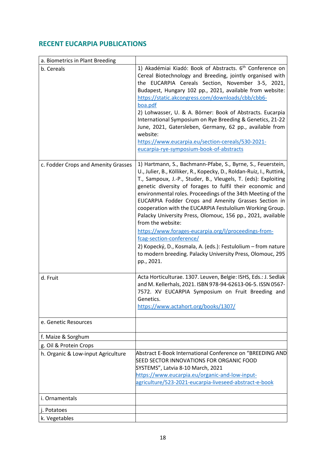# <span id="page-17-0"></span>**RECENT EUCARPIA PUBLICATIONS**

| a. Biometrics in Plant Breeding     |                                                                                                                                                                                                                                                                                                                                                                                                                                                                                                                                                                                                                                                                                                                                                                            |
|-------------------------------------|----------------------------------------------------------------------------------------------------------------------------------------------------------------------------------------------------------------------------------------------------------------------------------------------------------------------------------------------------------------------------------------------------------------------------------------------------------------------------------------------------------------------------------------------------------------------------------------------------------------------------------------------------------------------------------------------------------------------------------------------------------------------------|
| b. Cereals                          | 1) Akadémiai Kiadó: Book of Abstracts. 6 <sup>th</sup> Conference on<br>Cereal Biotechnology and Breeding, jointly organised with<br>the EUCARPIA Cereals Section, November 3-5, 2021,<br>Budapest, Hungary 102 pp., 2021, available from website:<br>https://static.akcongress.com/downloads/cbb/cbb6-<br>boa.pdf<br>2) Lohwasser, U. & A. Börner: Book of Abstracts. Eucarpia<br>International Symposium on Rye Breeding & Genetics, 21-22<br>June, 2021, Gatersleben, Germany, 62 pp., available from<br>website:<br>https://www.eucarpia.eu/section-cereals/530-2021-<br>eucarpia-rye-symposium-book-of-abstracts                                                                                                                                                      |
| c. Fodder Crops and Amenity Grasses | 1) Hartmann, S., Bachmann-Pfabe, S., Byrne, S., Feuerstein,<br>U., Julier, B., Kölliker, R., Kopecky, D., Roldan-Ruiz, I., Ruttink,<br>T., Sampoux, J.-P., Studer, B., Vleugels, T. (eds): Exploiting<br>genetic diversity of forages to fulfil their economic and<br>environmental roles. Proceedings of the 34th Meeting of the<br>EUCARPIA Fodder Crops and Amenity Grasses Section in<br>cooperation with the EUCARPIA Festulolium Working Group.<br>Palacky University Press, Olomouc, 156 pp., 2021, available<br>from the website:<br>https://www.forages-eucarpia.org/l/proceedings-from-<br>fcag-section-conference/<br>2) Kopecký, D., Kosmala, A. (eds.): Festulolium - from nature<br>to modern breeding. Palacky University Press, Olomouc, 295<br>pp., 2021. |
| d. Fruit                            | Acta Horticulturae. 1307. Leuven, Belgie: ISHS, Eds.: J. Sedlak<br>and M. Kellerhals, 2021. ISBN 978-94-62613-06-5. ISSN 0567-<br>7572. XV EUCARPIA Symposium on Fruit Breeding and<br>Genetics.<br>https://www.actahort.org/books/1307/                                                                                                                                                                                                                                                                                                                                                                                                                                                                                                                                   |
| e. Genetic Resources                |                                                                                                                                                                                                                                                                                                                                                                                                                                                                                                                                                                                                                                                                                                                                                                            |
| f. Maize & Sorghum                  |                                                                                                                                                                                                                                                                                                                                                                                                                                                                                                                                                                                                                                                                                                                                                                            |
| g. Oil & Protein Crops              |                                                                                                                                                                                                                                                                                                                                                                                                                                                                                                                                                                                                                                                                                                                                                                            |
| h. Organic & Low-input Agriculture  | Abstract E-Book International Conference on "BREEDING AND<br>SEED SECTOR INNOVATIONS FOR ORGANIC FOOD<br>SYSTEMS", Latvia 8-10 March, 2021<br>https://www.eucarpia.eu/organic-and-low-input-<br>agriculture/523-2021-eucarpia-liveseed-abstract-e-book                                                                                                                                                                                                                                                                                                                                                                                                                                                                                                                     |
| i. Ornamentals                      |                                                                                                                                                                                                                                                                                                                                                                                                                                                                                                                                                                                                                                                                                                                                                                            |
| j. Potatoes                         |                                                                                                                                                                                                                                                                                                                                                                                                                                                                                                                                                                                                                                                                                                                                                                            |
| k. Vegetables                       |                                                                                                                                                                                                                                                                                                                                                                                                                                                                                                                                                                                                                                                                                                                                                                            |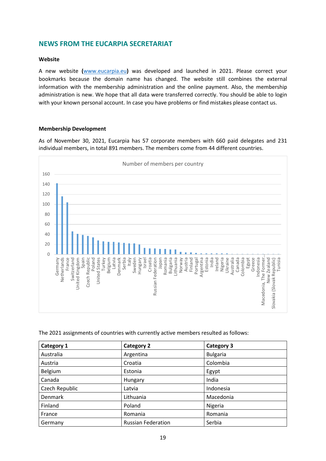# <span id="page-18-0"></span>**NEWS FROM THE EUCARPIA SECRETARIAT**

### **Website**

A new website **(**[www.eucarpia.eu](http://www.eucarpia.eu/)**)** was developed and launched in 2021. Please correct your bookmarks because the domain name has changed. The website still combines the external information with the membership administration and the online payment. Also, the membership administration is new. We hope that all data were transferred correctly. You should be able to login with your known personal account. In case you have problems or find mistakes please contact us.

### **Membership Development**

As of November 30, 2021, Eucarpia has 57 corporate members with 660 paid delegates and 231 individual members, in total 891 members. The members come from 44 different countries.



The 2021 assignments of countries with currently active members resulted as follows:

| Category 1     | <b>Category 2</b>         | <b>Category 3</b> |
|----------------|---------------------------|-------------------|
| Australia      | Argentina                 | <b>Bulgaria</b>   |
| Austria        | Croatia                   | Colombia          |
| Belgium        | Estonia                   | Egypt             |
| Canada         | Hungary                   | India             |
| Czech Republic | Latvia                    | Indonesia         |
| <b>Denmark</b> | Lithuania                 | Macedonia         |
| Finland        | Poland                    | Nigeria           |
| France         | Romania                   | Romania           |
| Germany        | <b>Russian Federation</b> | Serbia            |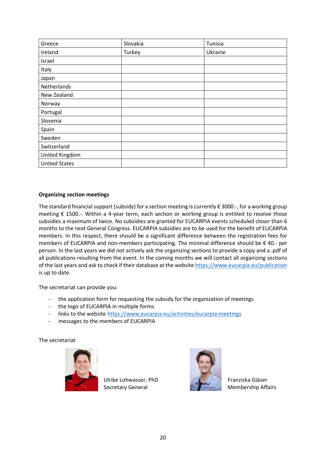| Greece               | Slovakia | Tunisia |
|----------------------|----------|---------|
| Ireland              | Turkey   | Ukraine |
| Israel               |          |         |
| Italy                |          |         |
| Japan                |          |         |
| Netherlands          |          |         |
| New Zealand          |          |         |
| Norway               |          |         |
| Portugal             |          |         |
| Slovenia             |          |         |
| Spain                |          |         |
| Sweden               |          |         |
| Switzerland          |          |         |
| United Kingdom       |          |         |
| <b>United States</b> |          |         |

# **Organizing section meetings**

The standard financial support (subsidy) for a section meeting is currently € 3000.-, for a working group meeting € 1500.-. Within a 4-year term, each section or working group is entitled to receive those subsidies a maximum of twice. No subsidies are granted for EUCARPIA events scheduled closer than 6 months to the next General Congress. EUCARPIA subsidies are to be used for the benefit of EUCARPIA members. In this respect, there should be a significant difference between the registration fees for members of EUCARPIA and non-members participating. The minimal difference should be € 40.- per person. In the last years we did not actively ask the organizing sections to provide a copy and a .pdf of all publications resulting from the event. In the coming months we will contact all organizing sections of the last years and ask to check if their database at the website [https://www.eucarpia.eu/publication](https://www.eucarpia.org/publications.html) is up to date.

The secretariat can provide you:

- the application form for requesting the subsidy for the organization of meetings
- the logo of EUCARPIA in multiple forms
- links to the website<https://www.eucarpia.eu/activities/eucarpia-meetings>
- messages to the members of EUCARPIA

The secretariat



Ulrike Lohwasser, PhD Secretary General



Franziska Gläser Membership Affairs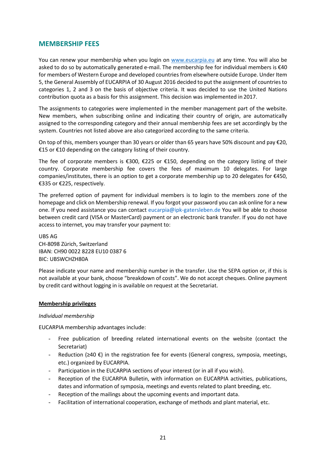# <span id="page-20-0"></span>**MEMBERSHIP FEES**

You can renew your membership when you login on [www.eucarpia.eu](http://www.eucarpia.eu/) at any time. You will also be asked to do so by automatically generated e-mail. The membership fee for individual members is €40 for members of Western Europe and developed countries from elsewhere outside Europe. Under Item 5, the General Assembly of EUCARPIA of 30 August 2016 decided to put the assignment of countriesto categories 1, 2 and 3 on the basis of objective criteria. It was decided to use the United Nations contribution quota as a basis for this assignment. This decision was implemented in 2017.

The assignments to categories were implemented in the member management part of the website. New members, when subscribing online and indicating their country of origin, are automatically assigned to the corresponding category and their annual membership fees are set accordingly by the system. Countries not listed above are also categorized according to the same criteria.

On top of this, members younger than 30 years or older than 65 years have 50% discount and pay €20, €15 or €10 depending on the category listing of their country.

The fee of corporate members is  $\epsilon$ 300,  $\epsilon$ 225 or  $\epsilon$ 150, depending on the category listing of their country. Corporate membership fee covers the fees of maximum 10 delegates. For large companies/institutes, there is an option to get a corporate membership up to 20 delegates for €450, €335 or €225, respectively.

The preferred option of payment for individual members is to login to the members zone of the homepage and click on Membership renewal. If you forgot your password you can ask online for a new one. If you need assistance you can contact [eucarpia@ipk-gatersleben.de Y](mailto:eucarpia@ipk-gatersleben.de)ou will be able to choose between credit card (VISA or MasterCard) payment or an electronic bank transfer. If you do not have access to internet, you may transfer your payment to:

UBS AG CH-8098 Zürich, Switzerland IBAN: CH90 0022 8228 EU10 0387 6 BIC: UBSWCHZH80A

Please indicate your name and membership number in the transfer. Use the SEPA option or, if this is not available at your bank, choose "breakdown of costs". We do not accept cheques. Online payment by credit card without logging in is available on request at the Secretariat.

### **Membership privileges**

### *Individual membership*

EUCARPIA membership advantages include:

- Free publication of breeding related international events on the website (contact the Secretariat)
- Reduction ( $\geq 40 \epsilon$ ) in the registration fee for events (General congress, symposia, meetings, etc.) organized by EUCARPIA.
- Participation in the EUCARPIA sections of your interest (or in all if you wish).
- Reception of the EUCARPIA Bulletin, with information on EUCARPIA activities, publications, dates and information of symposia, meetings and events related to plant breeding, etc.
- Reception of the mailings about the upcoming events and important data.
- Facilitation of international cooperation, exchange of methods and plant material, etc.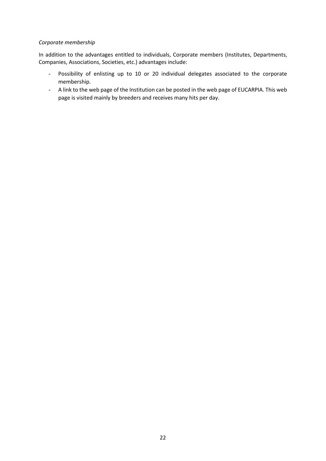# *Corporate membership*

In addition to the advantages entitled to individuals, Corporate members (Institutes, Departments, Companies, Associations, Societies, etc.) advantages include:

- Possibility of enlisting up to 10 or 20 individual delegates associated to the corporate membership.
- A link to the web page of the Institution can be posted in the web page of EUCARPIA. This web page is visited mainly by breeders and receives many hits per day.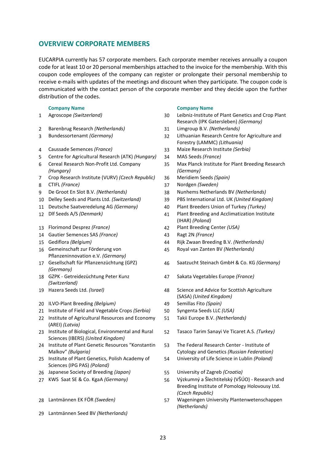# <span id="page-22-0"></span>**OVERVIEW CORPORATE MEMBERS**

EUCARPIA currently has 57 corporate members. Each corporate member receives annually a coupon code for at least 10 or 20 personal memberships attached to the invoice for the membership. With this coupon code employees of the company can register or prolongate their personal membership to receive e-mails with updates of the meetings and discount when they participate. The coupon code is communicated with the contact person of the corporate member and they decide upon the further distribution of the codes.

| 1 |  | Agroscope (Switzerland) |
|---|--|-------------------------|
|---|--|-------------------------|

- Barenbrug Research *(Netherlands)* 31 Limgroup B.V. *(Netherlands)*
- 
- 
- Centre for Agricultural Research (ATK) *(Hungary)* 34 MAS Seeds *(France)*
- Cereal Research Non-Profit Ltd. Company *(Hungary)*
- Crop Research Institute (VURV) *(Czech Republic)* 36 Meridiem Seeds *(Spain)*
- 
- 
- 
- 
- 
- Florimond Desprez *(France)* 42 Plant Breeding Center *(USA)*
- Gautier Semences SAS *(France)* 43 Ragt 2N *(France)*
- 
- Gemeinschaft zur Förderung von Pflanzeninnovation e.V. *(Germany)*
- Gesellschaft für Pflanzenzüchtung (GPZ) *(Germany)*
- GZPK Getreidezüchtung Peter Kunz *(Switzerland)*
- 
- ILVO-Plant Breeding *(Belgium)* 49 Semillas Fito *(Spain)*
- Institute of Field and Vegetable Crops *(Serbia)* 50 Syngenta Seeds LLC *(USA)*
- Institute of Agricultural Resources and Economy (AREI) *(Latvia)*
- Institute of Biological, Environmental and Rural Sciences (IBERS) *(United Kingdom)*
- Institute of Plant Genetic Resources "Konstantin Malkov" *(Bulgaria)*
- Institute of Plant Genetics, Polish Academy of Sciences (IPG PAS) *(Poland)*
- Japanese Society of Breeding *(Japan)* 55 University of Zagreb *(Croatia)*
- 
- 
- Lantmännen Seed BV *(Netherlands)*

### **Company Name Company Name**

- Agroscope *(Switzerland)* 30 Leibniz-Institute of Plant Genetics and Crop Plant Research (IPK Gatersleben) *(Germany)*
- 
- Bundessortenamt *(Germany)* 32 Lithuanian Research Centre for Agriculture and Forestry (LAMMC) *(Lithuania)*
- Caussade Semences *(France)* 33 Maize Research Institute *(Serbia)*
	-
	- Max Planck Institute for Plant Breeding Research *(Germany)*
	-
- CTIFL *(France)* 37 Nordgen *(Sweden)*
- De Groot En Slot B.V. *(Netherlands)* 38 Nunhems Netherlands BV *(Netherlands)*
- Delley Seeds and Plants Ltd. *(Switzerland)* 39 PBS International Ltd. UK *(United Kingdom)*
- Deutsche Saatveredelung AG *(Germany)* 40 Plant Breeders Union of Turkey *(Turkey)*
- Dlf Seeds A/S *(Denmark)* 41 Plant Breeding and Acclimatization Institute (IHAR) *(Poland)*
	-
	-
- Gediflora *(Belgium)* 44 Rijk Zwaan Breeding B.V. *(Netherlands)*
	- Royal van Zanten BV *(Netherlands)*
	- Saatzucht Steinach GmbH & Co. KG *(Germany)*
	- Sakata Vegetables Europe *(France)*
- Hazera Seeds Ltd. *(Israel)* 48 Science and Advice for Scottish Agriculture (SASA) *(United Kingdom)*
	-
	-
	- Takii Europe B.V. *(Netherlands)*
	- Tasaco Tarim Sanayi Ve Ticaret A.S. *(Turkey)*
	- The Federal Research Center Institute of Cytology and Genetics *(Russian Federation)*
	- University of Life Science in Lublin *(Poland)*
	-
- KWS Saat SE & Co. KgaA *(Germany)* 56 Výzkumný a Šlechtitelský (VŠÚO) Research and Breeding Institute of Pomology Holovousy Ltd. *(Czech Republic)*
- Lantmännen EK FÖR *(Sweden)* 57 Wageningen University Plantenwetenschappen *(Netherlands)*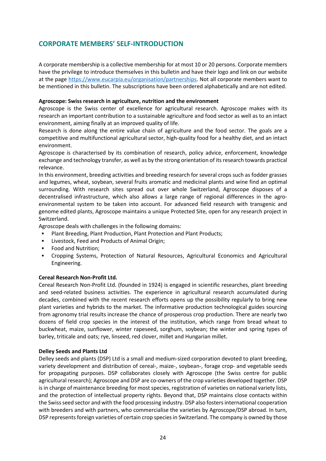# <span id="page-23-0"></span>**CORPORATE MEMBERS' SELF-INTRODUCTION**

A corporate membership is a collective membership for at most 10 or 20 persons. Corporate members have the privilege to introduce themselves in this bulletin and have their logo and link on our website at the page [https://www.eucarpia.eu/organisation/partnerships.](https://www.eucarpia.eu/organisation/partnerships) Not all corporate members want to be mentioned in this bulletin. The subscriptions have been ordered alphabetically and are not edited.

### **Agroscope: Swiss research in agriculture, nutrition and the environment**

Agroscope is the Swiss center of excellence for agricultural research. Agroscope makes with its research an important contribution to a sustainable agriculture and food sector as well as to an intact environment, aiming finally at an improved quality of life.

Research is done along the entire value chain of agriculture and the food sector. The goals are a competitive and multifunctional agricultural sector, high-quality food for a healthy diet, and an intact environment.

Agroscope is characterised by its combination of research, policy advice, enforcement, knowledge exchange and technology transfer, as well as by the strong orientation of its research towards practical relevance.

In this environment, breeding activities and breeding research for several crops such as fodder grasses and legumes, wheat, soybean, several fruits aromatic and medicinal plants and wine find an optimal surrounding. With research sites spread out over whole Switzerland, Agroscope disposes of a decentralised infrastructure, which also allows a large range of regional differences in the agroenvironmental system to be taken into account. For advanced field research with transgenic and genome edited plants, Agroscope maintains a unique Protected Site, open for any research project in Switzerland.

Agroscope deals with challenges in the following domains:

- Plant Breeding, Plant Production, Plant Protection and Plant Products;
- **EXECUTE:** Livestock, Feed and Products of Animal Origin;
- Food and Nutrition;
- Cropping Systems, Protection of Natural Resources, Agricultural Economics and Agricultural Engineering.

### **Cereal Research Non-Profit Ltd.**

Cereal Research Non-Profit Ltd. (founded in 1924) is engaged in scientific researches, plant breeding and seed-related business activities. The experience in agricultural research accumulated during decades, combined with the recent research efforts opens up the possibility regularly to bring new plant varieties and hybrids to the market. The informative production technological guides sourcing from agronomy trial results increase the chance of prosperous crop production. There are nearly two dozens of field crop species in the interest of the institution, which range from bread wheat to buckwheat, maize, sunflower, winter rapeseed, sorghum, soybean; the winter and spring types of barley, triticale and oats; rye, linseed, red clover, millet and Hungarian millet.

### **Delley Seeds and Plants Ltd**

Delley seeds and plants (DSP) Ltd is a small and medium-sized corporation devoted to plant breeding, variety development and distribution of cereal-, maize-, soybean-, forage crop- and vegetable seeds for propagating purposes. DSP collaborates closely with Agroscope (the Swiss centre for public agricultural research); Agroscope and DSP are co-owners of the crop varieties developed together. DSP is in charge of maintenance breeding for most species, registration of varieties on national variety lists, and the protection of intellectual property rights. Beyond that, DSP maintains close contacts within the Swiss seed sector and with the food processing industry. DSP also fosters international cooperation with breeders and with partners, who commercialise the varieties by Agroscope/DSP abroad. In turn, DSP represents foreign varieties of certain crop species in Switzerland. The company is owned by those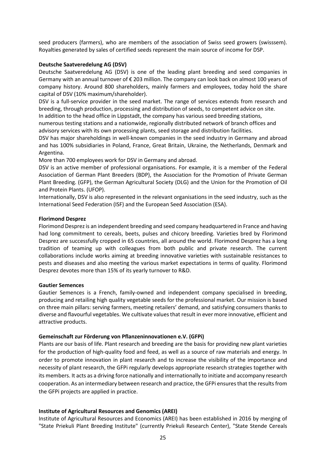seed producers (farmers), who are members of the association of Swiss seed growers (swisssem). Royalties generated by sales of certified seeds represent the main source of income for DSP.

# **Deutsche Saatveredelung AG (DSV)**

Deutsche Saatveredelung AG (DSV) is one of the leading plant breeding and seed companies in Germany with an annual turnover of € 203 million. The company can look back on almost 100 years of company history. Around 800 shareholders, mainly farmers and employees, today hold the share capital of DSV (10% maximum/shareholder).

DSV is a full-service provider in the seed market. The range of services extends from research and breeding, through production, processing and distribution of seeds, to competent advice on site.

In addition to the head office in Lippstadt, the company has various seed breeding stations, numerous testing stations and a nationwide, regionally distributed network of branch offices and advisory services with its own processing plants, seed storage and distribution facilities.

DSV has major shareholdings in well-known companies in the seed industry in Germany and abroad and has 100% subsidiaries in Poland, France, Great Britain, Ukraine, the Netherlands, Denmark and Argentina.

More than 700 employees work for DSV in Germany and abroad.

DSV is an active member of professional organisations. For example, it is a member of the Federal Association of German Plant Breeders (BDP), the Association for the Promotion of Private German Plant Breeding. (GFP), the German Agricultural Society (DLG) and the Union for the Promotion of Oil and Protein Plants. (UFOP).

Internationally, DSV is also represented in the relevant organisations in the seed industry, such as the International Seed Federation (ISF) and the European Seed Association (ESA).

### **Florimond Desprez**

Florimond Desprez is an independent breeding and seed company headquartered in France and having had long commitment to cereals, beets, pulses and chicory breeding. Varieties bred by Florimond Desprez are successfully cropped in 65 countries, all around the world. Florimond Desprez has a long tradition of teaming up with colleagues from both public and private research. The current collaborations include works aiming at breeding innovative varieties with sustainable resistances to pests and diseases and also meeting the various market expectations in terms of quality. Florimond Desprez devotes more than 15% of its yearly turnover to R&D.

### **Gautier Semences**

Gautier Semences is a French, family-owned and independent company specialised in breeding, producing and retailing high quality vegetable seeds for the professional market. Our mission is based on three main pillars: serving farmers, meeting retailers' demand, and satisfying consumers thanks to diverse and flavourful vegetables. We cultivate values that result in ever more innovative, efficient and attractive products.

### **Gemeinschaft zur Förderung von Pflanzeninnovationen e.V. (GFPi)**

Plants are our basis of life. Plant research and breeding are the basis for providing new plant varieties for the production of high-quality food and feed, as well as a source of raw materials and energy. In order to promote innovation in plant research and to increase the visibility of the importance and necessity of plant research, the GFPi regularly develops appropriate research strategies together with its members. It acts as a driving force nationally and internationally to initiate and accompany research cooperation. As an intermediary between research and practice, the GFPi ensures that the results from the GFPi projects are applied in practice.

# **Institute of Agricultural Resources and Genomics (AREI)**

Institute of Agricultural Resources and Economics (AREI) has been established in 2016 by merging of "State Priekuli Plant Breeding Institute" (currently Priekuli Research Center), "State Stende Cereals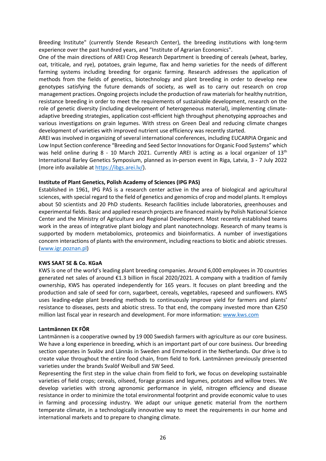Breeding Institute" (currently Stende Research Center), the breeding institutions with long-term experience over the past hundred years, and "Institute of Agrarian Economics".

One of the main directions of AREI Crop Research Department is breeding of cereals (wheat, barley, oat, triticale, and rye), potatoes, grain legume, flax and hemp varieties for the needs of different farming systems including breeding for organic farming. Research addresses the application of methods from the fields of genetics, biotechnology and plant breeding in order to develop new genotypes satisfying the future demands of society, as well as to carry out research on crop management practices. Ongoing projects include the production of raw materials for healthy nutrition, resistance breeding in order to meet the requirements of sustainable development, research on the role of genetic diversity (including development of heterogeneous material), implementing climateadaptive breeding strategies, application cost-efficient high throughput phenotyping approaches and various investigations on grain legumes. With stress on Green Deal and reducing climate changes development of varieties with improved nutrient use efficiency was recently started.

AREI was involved in organizing of several international conferences, including EUCARPIA Organic and Low Input Section conference "Breeding and Seed Sector Innovations for Organic Food Systems" which was held online during 8 - 10 March 2021. Currently AREI is acting as a local organizer of 13<sup>th</sup> International Barley Genetics Symposium, planned as in-person event in Riga, Latvia, 3 - 7 July 2022 (more info available at [https://ibgs.arei.lv/\)](https://ibgs.arei.lv/).

### **Institute of Plant Genetics, Polish Academy of Sciences (IPG PAS)**

Established in 1961, IPG PAS is a research center active in the area of biological and agricultural sciences, with special regard to the field of genetics and genomics of crop and model plants. It employs about 50 scientists and 20 PhD students. Research facilities include laboratories, greenhouses and experimental fields. Basic and applied research projects are financed mainly by Polish National Science Center and the Ministry of Agriculture and Regional Development. Most recently established teams work in the areas of integrative plant biology and plant nanotechnology. Research of many teams is supported by modern metabolomics, proteomics and bioinformatics. A number of investigations concern interactions of plants with the environment, including reactions to biotic and abiotic stresses. [\(www.igr.poznan.pl\)](http://www.igr.poznan.pl/)

### **KWS SAAT SE & Co. KGaA**

KWS is one of the world's leading plant breeding companies. Around 6,000 employees in 70 countries generated net sales of around €1.3 billion in fiscal 2020/2021. A company with a tradition of family ownership, KWS has operated independently for 165 years. It focuses on plant breeding and the production and sale of seed for corn, sugarbeet, cereals, vegetables, rapeseed and sunflowers. KWS uses leading-edge plant breeding methods to continuously improve yield for farmers and plants' resistance to diseases, pests and abiotic stress. To that end, the company invested more than €250 million last fiscal year in research and development. For more information: [www.kws.com](http://www.kws.com/) 

### **Lantmännen EK FÖR**

Lantmännen is a cooperative owned by 19 000 Swedish farmers with agriculture as our core business. We have a long experience in breeding, which is an important part of our core business. Our breeding section operates in Svalöv and Lännäs in Sweden and Emmeloord in the Netherlands. Our drive is to create value throughout the entire food chain, from field to fork. Lantmännen previously presented varieties under the brands Svalöf Weibull and SW Seed.

Representing the first step in the value chain from field to fork, we focus on developing sustainable varieties of field crops; cereals, oilseed, forage grasses and legumes, potatoes and willow trees. We develop varieties with strong agronomic performance in yield, nitrogen efficiency and disease resistance in order to minimize the total environmental footprint and provide economic value to uses in farming and processing industry. We adapt our unique genetic material from the northern temperate climate, in a technologically innovative way to meet the requirements in our home and international markets and to prepare to changing climate.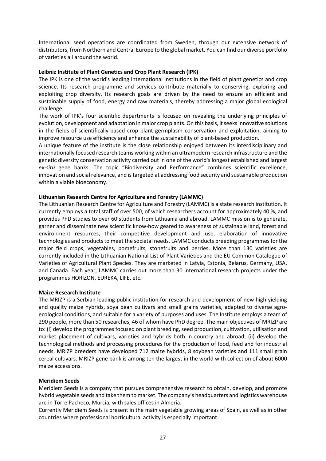International seed operations are coordinated from Sweden, through our extensive network of distributors, from Northern and Central Europe to the global market. You can find our diverse portfolio of varieties all around the world.

# **Leibniz Institute of Plant Genetics and Crop Plant Research (IPK)**

The IPK is one of the world's leading international institutions in the field of plant genetics and crop science. Its research programme and services contribute materially to conserving, exploring and exploiting crop diversity. Its research goals are driven by the need to ensure an efficient and sustainable supply of food, energy and raw materials, thereby addressing a major global ecological challenge.

The work of IPK's four scientific departments is focused on revealing the underlying principles of evolution, development and adaptation in major crop plants. On this basis, it seeks innovative solutions in the fields of scientifically-based crop plant germplasm conservation and exploitation, aiming to improve resource use efficiency and enhance the sustainability of plant-based production.

A unique feature of the institute is the close relationship enjoyed between its interdisciplinary and internationally focused research teams working within an ultramodern research infrastructure and the genetic diversity conservation activity carried out in one of the world's longest established and largest *ex-situ* gene banks. The topic "Biodiversity and Performance" combines scientific excellence, innovation and social relevance, and is targeted at addressing food security and sustainable production within a viable bioeconomy.

# **Lithuanian Research Centre for Agriculture and Forestry (LAMMC)**

The Lithuanian Research Centre for Agriculture and Forestry (LAMMC) is a state research institution. It currently employs a total staff of over 500, of which researchers account for approximately 40 %, and provides PhD studies to over 60 students from Lithuania and abroad. LAMMC mission is to generate, garner and disseminate new scientific know-how geared to awareness of sustainable land, forest and environment resources, their competitive development and use, elaboration of innovative technologies and products to meet the societal needs. LAMMC conducts breeding programmes for the major field crops, vegetables, pomefruits, stonefruits and berries. More than 130 varieties are currently included in the Lithuanian National List of Plant Varieties and the EU Common Catalogue of Varieties of Agricultural Plant Species. They are marketed in Latvia, Estonia, Belarus, Germany, USA, and Canada. Each year, LAMMC carries out more than 30 international research projects under the programmes HORIZON, EUREKA, LIFE, etc.

### **Maize Research Institute**

The MRIZP is a Serbian leading public institution for research and development of new high-yielding and quality maize hybrids, soya bean cultivars and small grains varieties, adapted to diverse agroecological conditions, and suitable for a variety of purposes and uses. The Institute employs a team of 290 people, more than 50 researches, 46 of whom have PhD degree. The main objectives of MRIZP are to: (i) develop the programmes focused on plant breeding, seed production, cultivation, utilisation and market placement of cultivars, varieties and hybrids both in country and abroad; (ii) develop the technological methods and processing procedures for the production of food, feed and for industrial needs. MRIZP breeders have developed 712 maize hybrids, 8 soybean varieties and 111 small grain cereal cultivars. MRIZP gene bank is among ten the largest in the world with collection of about 6000 maize accessions.

### **Meridiem Seeds**

Meridiem Seeds is a company that pursues comprehensive research to obtain, develop, and promote hybrid vegetable seeds and take them to market. The company's headquarters and logistics warehouse are in Torre Pacheco, Murcia, with sales offices in Almería.

Currently Meridiem Seeds is present in the main vegetable growing areas of Spain, as well as in other countries where professional horticultural activity is especially important.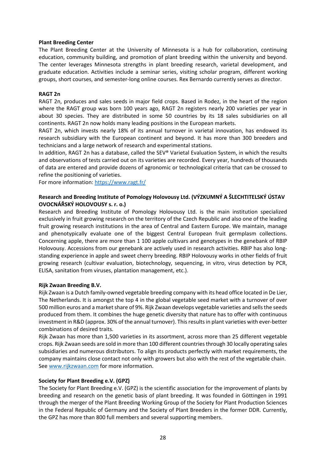### **Plant Breeding Center**

The Plant Breeding Center at the University of Minnesota is a hub for collaboration, continuing education, community building, and promotion of plant breeding within the university and beyond. The center leverages Minnesota strengths in plant breeding research, varietal development, and graduate education. Activities include a seminar series, visiting scholar program, different working groups, short courses, and semester-long online courses. Rex Bernardo currently serves as director.

### **RAGT 2n**

RAGT 2n, produces and sales seeds in major field crops. Based in Rodez, in the heart of the region where the RAGT group was born 100 years ago, RAGT 2n registers nearly 200 varieties per year in about 30 species. They are distributed in some 50 countries by its 18 sales subsidiaries on all continents. RAGT 2n now holds many leading positions in the European markets.

RAGT 2n, which invests nearly 18% of its annual turnover in varietal innovation, has endowed its research subsidiary with the European continent and beyond. It has more than 300 breeders and technicians and a large network of research and experimental stations.

In addition, RAGT 2n has a database, called the SEV® Varietal Evaluation System, in which the results and observations of tests carried out on its varieties are recorded. Every year, hundreds of thousands of data are entered and provide dozens of agronomic or technological criteria that can be crossed to refine the positioning of varieties.

For more information:<https://www.ragt.fr/>

# **Research and Breeding Institute of Pomology Holovousy Ltd. (VÝZKUMNÝ A ŠLECHTITELSKÝ ÚSTAV OVOCNÁŘSKÝ HOLOVOUSY s. r. o.)**

Research and Breeding Institute of Pomology Holovousy Ltd. is the main institution specialized exclusively in fruit growing research on the territory of the Czech Republic and also one of the leading fruit growing research institutions in the area of Central and Eastern Europe. We maintain, manage and phenotypically evaluate one of the biggest Central European fruit germplasm collections. Concerning apple, there are more than 1 100 apple cultivars and genotypes in the genebank of RBIP Holovousy. Accessions from our genebank are actively used in research activities. RBIP has also longstanding experience in apple and sweet cherry breeding. RBIP Holovousy works in other fields of fruit growing research (cultivar evaluation, biotechnology, sequencing, in vitro, virus detection by PCR, ELISA, sanitation from viruses, plantation management, etc.).

### **Rijk Zwaan Breeding B.V.**

Rijk Zwaan is a Dutch family-owned vegetable breeding company with its head office located in De Lier, The Netherlands. It is amongst the top 4 in the global vegetable seed market with a turnover of over 500 million euros and a market share of 9%. Rijk Zwaan develops vegetable varieties and sells the seeds produced from them. It combines the huge genetic diversity that nature has to offer with continuous investment in R&D (approx. 30% of the annual turnover). This results in plant varieties with ever-better combinations of desired traits.

Rijk Zwaan has more than 1,500 varieties in its assortment, across more than 25 different vegetable crops. Rijk Zwaan seeds are sold in more than 100 different countries through 30 locally operating sales subsidiaries and numerous distributors. To align its products perfectly with market requirements, the company maintains close contact not only with growers but also with the rest of the vegetable chain. See [www.rijkzwaan.com](http://www.rijkzwaan.com/) for more information.

# **Society for Plant Breeding e.V. (GPZ)**

The Society for Plant Breeding e.V. (GPZ) is the scientific association for the improvement of plants by breeding and research on the genetic basis of plant breeding. It was founded in Göttingen in 1991 through the merger of the Plant Breeding Working Group of the Society for Plant Production Sciences in the Federal Republic of Germany and the Society of Plant Breeders in the former DDR. Currently, the GPZ has more than 800 full members and several supporting members.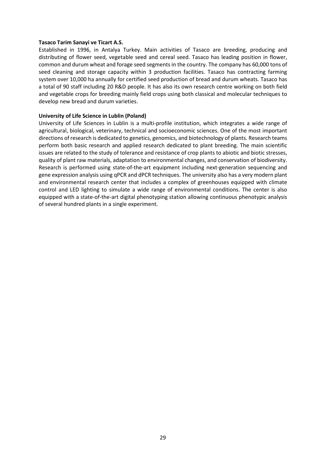### **Tasaco Tarim Sanayi ve Ticart A.S.**

Established in 1996, in Antalya Turkey. Main activities of Tasaco are breeding, producing and distributing of flower seed, vegetable seed and cereal seed. Tasaco has leading position in flower, common and durum wheat and forage seed segments in the country. The company has 60,000 tons of seed cleaning and storage capacity within 3 production facilities. Tasaco has contracting farming system over 10,000 ha annually for certified seed production of bread and durum wheats. Tasaco has a total of 90 staff including 20 R&D people. It has also its own research centre working on both field and vegetable crops for breeding mainly field crops using both classical and molecular techniques to develop new bread and durum varieties.

### **University of Life Science in Lublin (Poland)**

University of Life Sciences in Lublin is a multi-profile institution, which integrates a wide range of agricultural, biological, veterinary, technical and socioeconomic sciences. One of the most important directions of research is dedicated to genetics, genomics, and biotechnology of plants. Research teams perform both basic research and applied research dedicated to plant breeding. The main scientific issues are related to the study of tolerance and resistance of crop plants to abiotic and biotic stresses, quality of plant raw materials, adaptation to environmental changes, and conservation of biodiversity. Research is performed using state-of-the-art equipment including next-generation sequencing and gene expression analysis using qPCR and dPCR techniques. The university also has a very modern plant and environmental research center that includes a complex of greenhouses equipped with climate control and LED lighting to simulate a wide range of environmental conditions. The center is also equipped with a state-of-the-art digital phenotyping station allowing continuous phenotypic analysis of several hundred plants in a single experiment.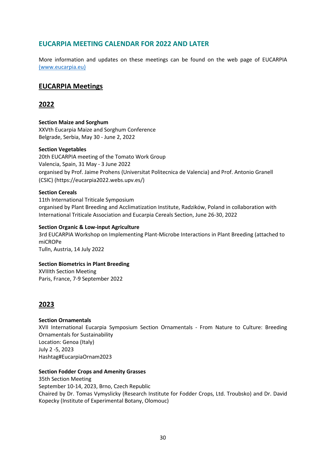# <span id="page-29-0"></span>**EUCARPIA MEETING CALENDAR FOR 2022 AND LATER**

More information and updates on these meetings can be found on the web page of EUCARPIA [\(www.eucarpia.eu\)](http://(www.eucarpia.eu)/)

# **EUCARPIA Meetings**

# **2022**

**Section Maize and Sorghum** XXVth Eucarpia Maize and Sorghum Conference Belgrade, Serbia, May 30 - June 2, 2022

# **Section Vegetables**

20th EUCARPIA meeting of the Tomato Work Group Valencia, Spain, 31 May - 3 June 2022 organised by Prof. Jaime Prohens (Universitat Politecnica de Valencia) and Prof. Antonio Granell (CSIC) (https://eucarpia2022.webs.upv.es/)

# **Section Cereals**

11th International Triticale Symposium organised by Plant Breeding and Acclimatization Institute, Radzików, Poland in collaboration with International Triticale Association and Eucarpia Cereals Section, June 26-30, 2022

### **Section Organic & Low-input Agriculture**

3rd EUCARPIA Workshop on Implementing Plant-Microbe Interactions in Plant Breeding (attached to miCROPe Tulln, Austria, 14 July 2022

### **Section Biometrics in Plant Breeding**

XVIIIth Section Meeting Paris, France, 7-9 September 2022

# **2023**

# **Section Ornamentals**

XVII International Eucarpia Symposium Section Ornamentals - From Nature to Culture: Breeding Ornamentals for Sustainability Location: Genoa (Italy) July 2 -5, 2023 Hashtag#EucarpiaOrnam2023

### **Section Fodder Crops and Amenity Grasses**

35th Section Meeting September 10-14, 2023, Brno, Czech Republic Chaired by Dr. Tomas Vymyslicky (Research Institute for Fodder Crops, Ltd. Troubsko) and Dr. David Kopecky (Institute of Experimental Botany, Olomouc)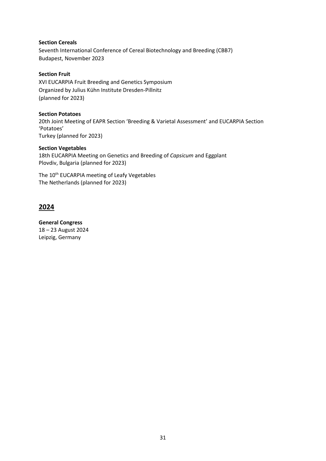# **Section Cereals**

Seventh International Conference of Cereal Biotechnology and Breeding (CBB7) Budapest, November 2023

### **Section Fruit**

XVI EUCARPIA Fruit Breeding and Genetics Symposium Organized by Julius Kühn Institute Dresden-Pillnitz (planned for 2023)

### **Section Potatoes**

20th Joint Meeting of EAPR Section 'Breeding & Varietal Assessment' and EUCARPIA Section 'Potatoes' Turkey (planned for 2023)

# **Section Vegetables**

18th EUCARPIA Meeting on Genetics and Breeding of *Capsicum* and Eggplant Plovdiv, Bulgaria (planned for 2023)

The 10<sup>th</sup> EUCARPIA meeting of Leafy Vegetables The Netherlands (planned for 2023)

# **2024**

**General Congress** 18 – 23 August 2024 Leipzig, Germany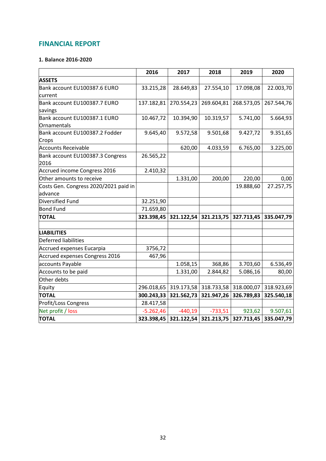# <span id="page-31-0"></span>**FINANCIAL REPORT**

# **1. Balance 2016-2020**

|                                       | 2016        | 2017       | 2018                                        | 2019       | 2020       |
|---------------------------------------|-------------|------------|---------------------------------------------|------------|------------|
| <b>ASSETS</b>                         |             |            |                                             |            |            |
| Bank account EU100387.6 EURO          | 33.215,28   | 28.649,83  | 27.554,10                                   | 17.098,08  | 22.003,70  |
| current                               |             |            |                                             |            |            |
| Bank account EU100387.7 EURO          | 137.182,81  | 270.554,23 | 269.604,81                                  | 268.573,05 | 267.544,76 |
| savings                               |             |            |                                             |            |            |
| Bank account EU100387.1 EURO          | 10.467,72   | 10.394,90  | 10.319,57                                   | 5.741,00   | 5.664,93   |
| Ornamentals                           |             |            |                                             |            |            |
| Bank account EU100387.2 Fodder        | 9.645,40    | 9.572,58   | 9.501,68                                    | 9.427,72   | 9.351,65   |
| Crops                                 |             |            |                                             |            |            |
| <b>Accounts Receivable</b>            |             | 620,00     | 4.033,59                                    | 6.765,00   | 3.225,00   |
| Bank account EU100387.3 Congress      | 26.565,22   |            |                                             |            |            |
| 2016                                  |             |            |                                             |            |            |
| Accrued income Congress 2016          | 2.410,32    |            |                                             |            |            |
| Other amounts to receive              |             | 1.331,00   | 200,00                                      | 220,00     | 0,00       |
| Costs Gen. Congress 2020/2021 paid in |             |            |                                             | 19.888,60  | 27.257,75  |
| advance                               |             |            |                                             |            |            |
| <b>Diversified Fund</b>               | 32.251,90   |            |                                             |            |            |
| <b>Bond Fund</b>                      | 71.659,80   |            |                                             |            |            |
| <b>TOTAL</b>                          | 323.398,45  | 321.122,54 | 321.213,75                                  | 327.713,45 | 335.047,79 |
| <b>LIABILITIES</b>                    |             |            |                                             |            |            |
| Deferred liabilities                  |             |            |                                             |            |            |
| <b>Accrued expenses Eucarpia</b>      | 3756,72     |            |                                             |            |            |
| <b>Accrued expenses Congress 2016</b> | 467,96      |            |                                             |            |            |
| accounts Payable                      |             | 1.058,15   | 368,86                                      | 3.703,60   | 6.536,49   |
| Accounts to be paid                   |             | 1.331,00   | 2.844,82                                    | 5.086,16   | 80,00      |
| Other debts                           |             |            |                                             |            |            |
|                                       | 296.018,65  | 319.173,58 | 318.733,58                                  | 318.000,07 | 318.923,69 |
| Equity<br><b>TOTAL</b>                |             | 321.562,73 | 321.947,26                                  | 326.789,83 | 325.540,18 |
|                                       | 300.243,33  |            |                                             |            |            |
| Profit/Loss Congress                  | 28.417,58   |            |                                             |            |            |
| Net profit / loss                     | $-5.262,46$ | $-440,19$  | $-733,51$                                   | 923,62     | 9.507,61   |
| <b>TOTAL</b>                          | 323.398,45  |            | 321.122,54 321.213,75 327.713,45 335.047,79 |            |            |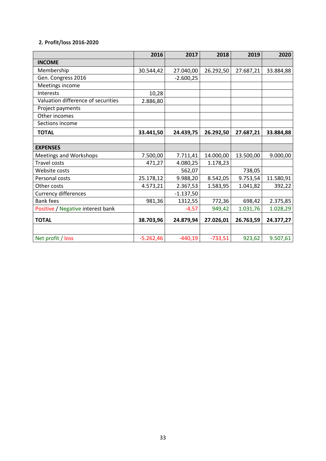# **2. Profit/loss 2016-2020**

|                                    | 2016        | 2017        | 2018      | 2019      | 2020      |
|------------------------------------|-------------|-------------|-----------|-----------|-----------|
| <b>INCOME</b>                      |             |             |           |           |           |
| Membership                         | 30.544,42   | 27.040,00   | 26.292,50 | 27.687,21 | 33.884,88 |
| Gen. Congress 2016                 |             | $-2.600,25$ |           |           |           |
| Meetings income                    |             |             |           |           |           |
| <b>Interests</b>                   | 10,28       |             |           |           |           |
| Valuation difference of securities | 2.886,80    |             |           |           |           |
| Project payments                   |             |             |           |           |           |
| Other incomes                      |             |             |           |           |           |
| Sections income                    |             |             |           |           |           |
| <b>TOTAL</b>                       | 33.441,50   | 24.439,75   | 26.292,50 | 27.687,21 | 33.884,88 |
|                                    |             |             |           |           |           |
| <b>EXPENSES</b>                    |             |             |           |           |           |
| <b>Meetings and Workshops</b>      | 7.500,00    | 7.711,41    | 14.000,00 | 13.500,00 | 9.000,00  |
| <b>Travel costs</b>                | 471,27      | 4.080,25    | 1.178,23  |           |           |
| Website costs                      |             | 562,07      |           | 738,05    |           |
| Personal costs                     | 25.178,12   | 9.988,20    | 8.542,05  | 9.753,54  | 11.580,91 |
| Other costs                        | 4.573,21    | 2.367,53    | 1.583,95  | 1.041,82  | 392,22    |
| <b>Currency differences</b>        |             | $-1.137,50$ |           |           |           |
| <b>Bank fees</b>                   | 981,36      | 1312,55     | 772,36    | 698,42    | 2.375,85  |
| Positive / Negative interest bank  |             | $-4,57$     | 949,42    | 1.031,76  | 1.028,29  |
| <b>TOTAL</b>                       | 38.703,96   | 24.879,94   | 27.026,01 | 26.763,59 | 24.377,27 |
|                                    |             |             |           |           |           |
| Net profit / loss                  | $-5.262,46$ | $-440,19$   | $-733,51$ | 923,62    | 9.507,61  |